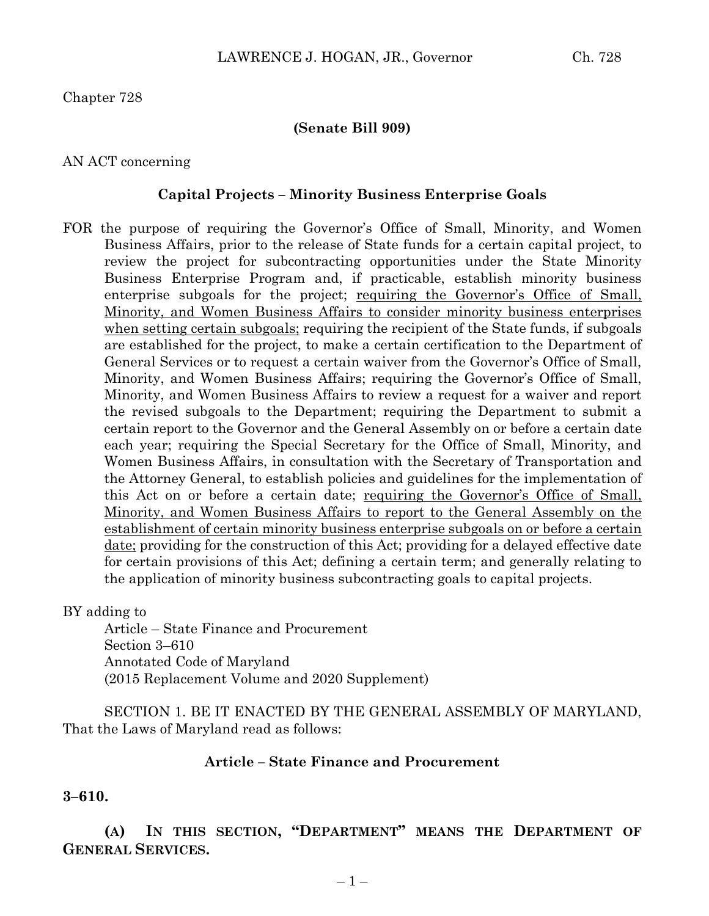Chapter 728

### **(Senate Bill 909)**

### AN ACT concerning

### **Capital Projects – Minority Business Enterprise Goals**

FOR the purpose of requiring the Governor's Office of Small, Minority, and Women Business Affairs, prior to the release of State funds for a certain capital project, to review the project for subcontracting opportunities under the State Minority Business Enterprise Program and, if practicable, establish minority business enterprise subgoals for the project; requiring the Governor's Office of Small, Minority, and Women Business Affairs to consider minority business enterprises when setting certain subgoals; requiring the recipient of the State funds, if subgoals are established for the project, to make a certain certification to the Department of General Services or to request a certain waiver from the Governor's Office of Small, Minority, and Women Business Affairs; requiring the Governor's Office of Small, Minority, and Women Business Affairs to review a request for a waiver and report the revised subgoals to the Department; requiring the Department to submit a certain report to the Governor and the General Assembly on or before a certain date each year; requiring the Special Secretary for the Office of Small, Minority, and Women Business Affairs, in consultation with the Secretary of Transportation and the Attorney General, to establish policies and guidelines for the implementation of this Act on or before a certain date; requiring the Governor's Office of Small, Minority, and Women Business Affairs to report to the General Assembly on the establishment of certain minority business enterprise subgoals on or before a certain date; providing for the construction of this Act; providing for a delayed effective date for certain provisions of this Act; defining a certain term; and generally relating to the application of minority business subcontracting goals to capital projects.

BY adding to

Article – State Finance and Procurement Section 3–610 Annotated Code of Maryland (2015 Replacement Volume and 2020 Supplement)

SECTION 1. BE IT ENACTED BY THE GENERAL ASSEMBLY OF MARYLAND, That the Laws of Maryland read as follows:

### **Article – State Finance and Procurement**

#### **3–610.**

**(A) IN THIS SECTION, "DEPARTMENT" MEANS THE DEPARTMENT OF GENERAL SERVICES.**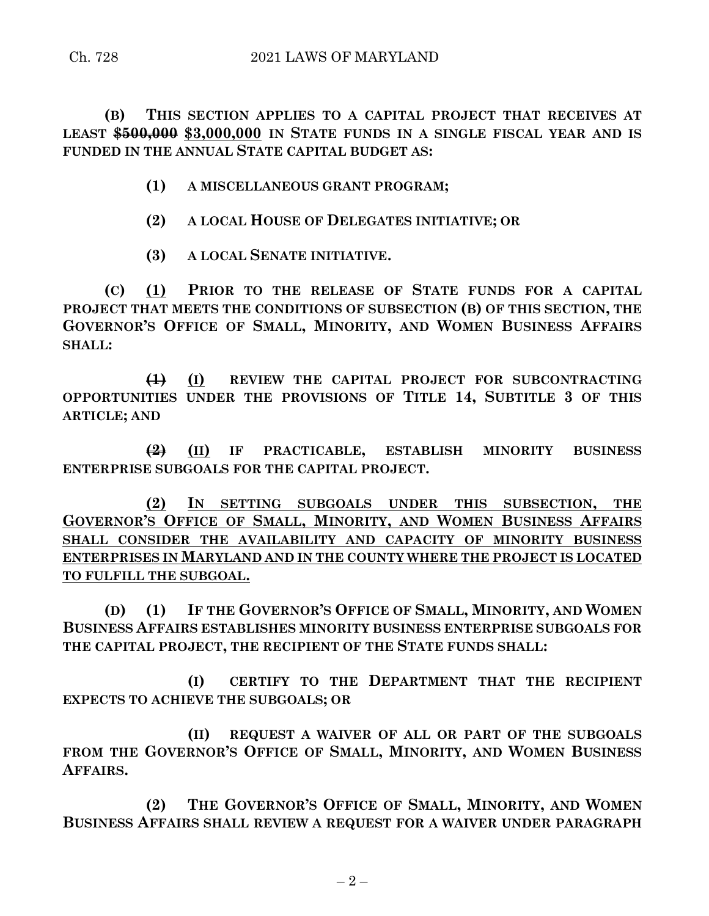**(B) THIS SECTION APPLIES TO A CAPITAL PROJECT THAT RECEIVES AT LEAST \$500,000 \$3,000,000 IN STATE FUNDS IN A SINGLE FISCAL YEAR AND IS FUNDED IN THE ANNUAL STATE CAPITAL BUDGET AS:**

- **(1) A MISCELLANEOUS GRANT PROGRAM;**
- **(2) A LOCAL HOUSE OF DELEGATES INITIATIVE; OR**
- **(3) A LOCAL SENATE INITIATIVE.**

**(C) (1) PRIOR TO THE RELEASE OF STATE FUNDS FOR A CAPITAL PROJECT THAT MEETS THE CONDITIONS OF SUBSECTION (B) OF THIS SECTION, THE GOVERNOR'S OFFICE OF SMALL, MINORITY, AND WOMEN BUSINESS AFFAIRS SHALL:**

**(1) (I) REVIEW THE CAPITAL PROJECT FOR SUBCONTRACTING OPPORTUNITIES UNDER THE PROVISIONS OF TITLE 14, SUBTITLE 3 OF THIS ARTICLE; AND**

**(2) (II) IF PRACTICABLE, ESTABLISH MINORITY BUSINESS ENTERPRISE SUBGOALS FOR THE CAPITAL PROJECT.**

**(2) IN SETTING SUBGOALS UNDER THIS SUBSECTION, THE GOVERNOR'S OFFICE OF SMALL, MINORITY, AND WOMEN BUSINESS AFFAIRS SHALL CONSIDER THE AVAILABILITY AND CAPACITY OF MINORITY BUSINESS ENTERPRISES IN MARYLAND AND IN THE COUNTY WHERE THE PROJECT IS LOCATED TO FULFILL THE SUBGOAL.**

**(D) (1) IF THE GOVERNOR'S OFFICE OF SMALL, MINORITY, AND WOMEN BUSINESS AFFAIRS ESTABLISHES MINORITY BUSINESS ENTERPRISE SUBGOALS FOR THE CAPITAL PROJECT, THE RECIPIENT OF THE STATE FUNDS SHALL:**

**(I) CERTIFY TO THE DEPARTMENT THAT THE RECIPIENT EXPECTS TO ACHIEVE THE SUBGOALS; OR**

**(II) REQUEST A WAIVER OF ALL OR PART OF THE SUBGOALS FROM THE GOVERNOR'S OFFICE OF SMALL, MINORITY, AND WOMEN BUSINESS AFFAIRS.**

**(2) THE GOVERNOR'S OFFICE OF SMALL, MINORITY, AND WOMEN BUSINESS AFFAIRS SHALL REVIEW A REQUEST FOR A WAIVER UNDER PARAGRAPH**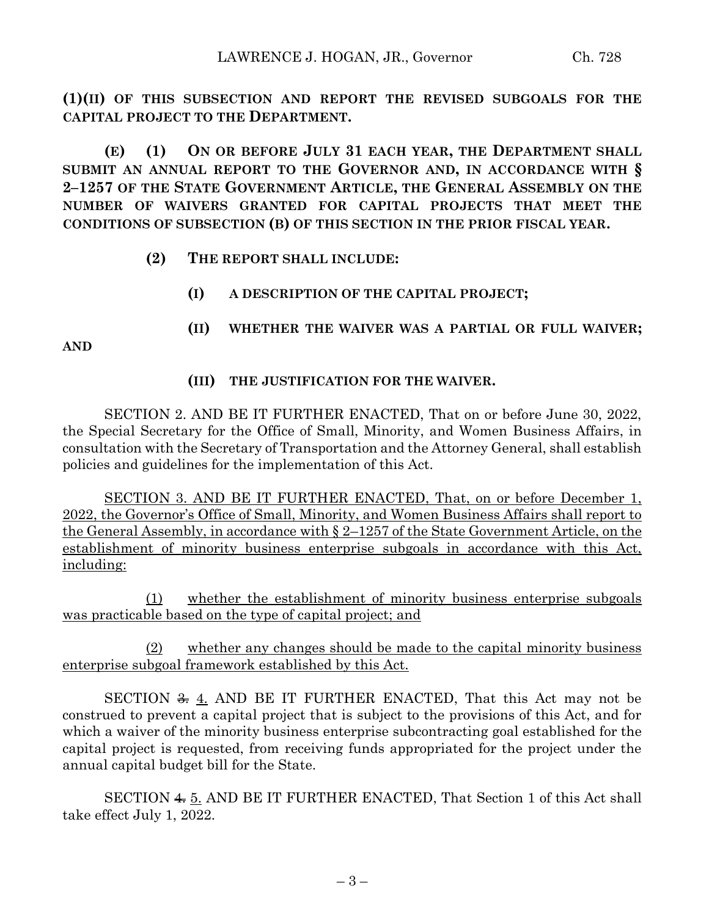**(1)(II) OF THIS SUBSECTION AND REPORT THE REVISED SUBGOALS FOR THE CAPITAL PROJECT TO THE DEPARTMENT.**

**(E) (1) ON OR BEFORE JULY 31 EACH YEAR, THE DEPARTMENT SHALL SUBMIT AN ANNUAL REPORT TO THE GOVERNOR AND, IN ACCORDANCE WITH § 2–1257 OF THE STATE GOVERNMENT ARTICLE, THE GENERAL ASSEMBLY ON THE NUMBER OF WAIVERS GRANTED FOR CAPITAL PROJECTS THAT MEET THE CONDITIONS OF SUBSECTION (B) OF THIS SECTION IN THE PRIOR FISCAL YEAR.**

- **(2) THE REPORT SHALL INCLUDE:**
	- **(I) A DESCRIPTION OF THE CAPITAL PROJECT;**
	- **(II) WHETHER THE WAIVER WAS A PARTIAL OR FULL WAIVER;**

**AND**

## **(III) THE JUSTIFICATION FOR THE WAIVER.**

SECTION 2. AND BE IT FURTHER ENACTED, That on or before June 30, 2022, the Special Secretary for the Office of Small, Minority, and Women Business Affairs, in consultation with the Secretary of Transportation and the Attorney General, shall establish policies and guidelines for the implementation of this Act.

SECTION 3. AND BE IT FURTHER ENACTED, That, on or before December 1, 2022, the Governor's Office of Small, Minority, and Women Business Affairs shall report to the General Assembly, in accordance with § 2–1257 of the State Government Article, on the establishment of minority business enterprise subgoals in accordance with this Act, including:

(1) whether the establishment of minority business enterprise subgoals was practicable based on the type of capital project; and

 $(2)$  whether any changes should be made to the capital minority business enterprise subgoal framework established by this Act.

SECTION  $\frac{2}{\sqrt{3}}$  4. AND BE IT FURTHER ENACTED, That this Act may not be construed to prevent a capital project that is subject to the provisions of this Act, and for which a waiver of the minority business enterprise subcontracting goal established for the capital project is requested, from receiving funds appropriated for the project under the annual capital budget bill for the State.

SECTION 4. 5. AND BE IT FURTHER ENACTED, That Section 1 of this Act shall take effect July 1, 2022.